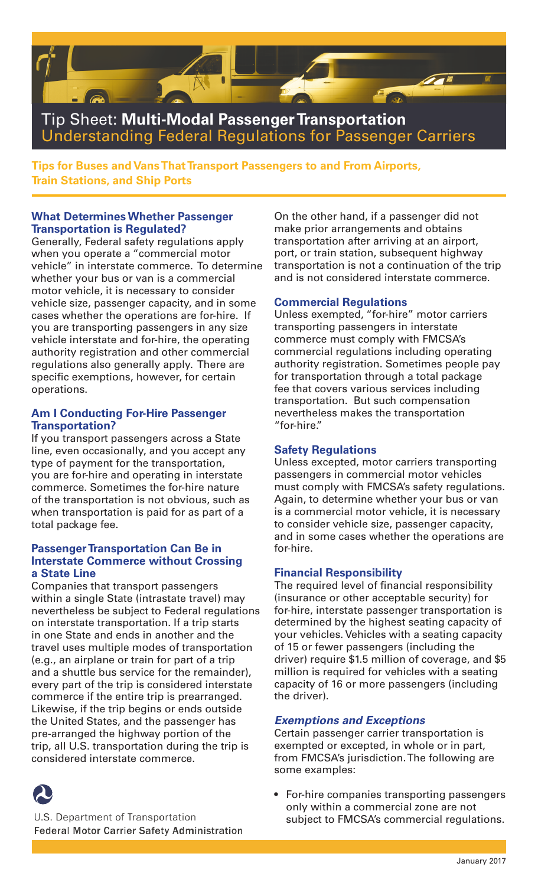

**Tips for Buses and Vans That Transport Passengers to and From Airports, Train Stations, and Ship Ports** 

#### **What Determines Whether Passenger Transportation is Regulated?**

Generally, Federal safety regulations apply when you operate a "commercial motor vehicle" in interstate commerce. To determine whether your bus or van is a commercial motor vehicle, it is necessary to consider vehicle size, passenger capacity, and in some cases whether the operations are for-hire. If you are transporting passengers in any size vehicle interstate and for-hire, the operating authority registration and other commercial regulations also generally apply. There are specific exemptions, however, for certain operations.

#### **Am I Conducting For-Hire Passenger Transportation?**

If you transport passengers across a State line, even occasionally, and you accept any type of payment for the transportation, you are for-hire and operating in interstate commerce. Sometimes the for-hire nature of the transportation is not obvious, such as when transportation is paid for as part of a total package fee.

#### **Passenger Transportation Can Be in Interstate Commerce without Crossing a State Line**

Companies that transport passengers within a single State (intrastate travel) may nevertheless be subject to Federal regulations on interstate transportation. If a trip starts in one State and ends in another and the travel uses multiple modes of transportation (e.g., an airplane or train for part of a trip and a shuttle bus service for the remainder), every part of the trip is considered interstate commerce if the entire trip is prearranged. Likewise, if the trip begins or ends outside the United States, and the passenger has pre-arranged the highway portion of the trip, all U.S. transportation during the trip is considered interstate commerce.



U.S. Department of Transportation **Federal Motor Carrier Safety Administration**  On the other hand, if a passenger did not make prior arrangements and obtains transportation after arriving at an airport, port, or train station, subsequent highway transportation is not a continuation of the trip and is not considered interstate commerce.

### **Commercial Regulations**

Unless exempted, "for-hire" motor carriers transporting passengers in interstate commerce must comply with FMCSA's commercial regulations including operating authority registration. Sometimes people pay for transportation through a total package fee that covers various services including transportation. But such compensation nevertheless makes the transportation "for-hire."

## **Safety Regulations**

Unless excepted, motor carriers transporting passengers in commercial motor vehicles must comply with FMCSA's safety regulations. Again, to determine whether your bus or van is a commercial motor vehicle, it is necessary to consider vehicle size, passenger capacity, and in some cases whether the operations are for-hire.

#### **Financial Responsibility**

The required level of financial responsibility (insurance or other acceptable security) for for-hire, interstate passenger transportation is determined by the highest seating capacity of your vehicles. Vehicles with a seating capacity of 15 or fewer passengers (including the driver) require \$1.5 million of coverage, and \$5 million is required for vehicles with a seating capacity of 16 or more passengers (including the driver).

#### *Exemptions and Exceptions*

Certain passenger carrier transportation is exempted or excepted, in whole or in part, from FMCSA's jurisdiction. The following are some examples:

• For-hire companies transporting passengers only within a commercial zone are not subject to FMCSA's commercial regulations.